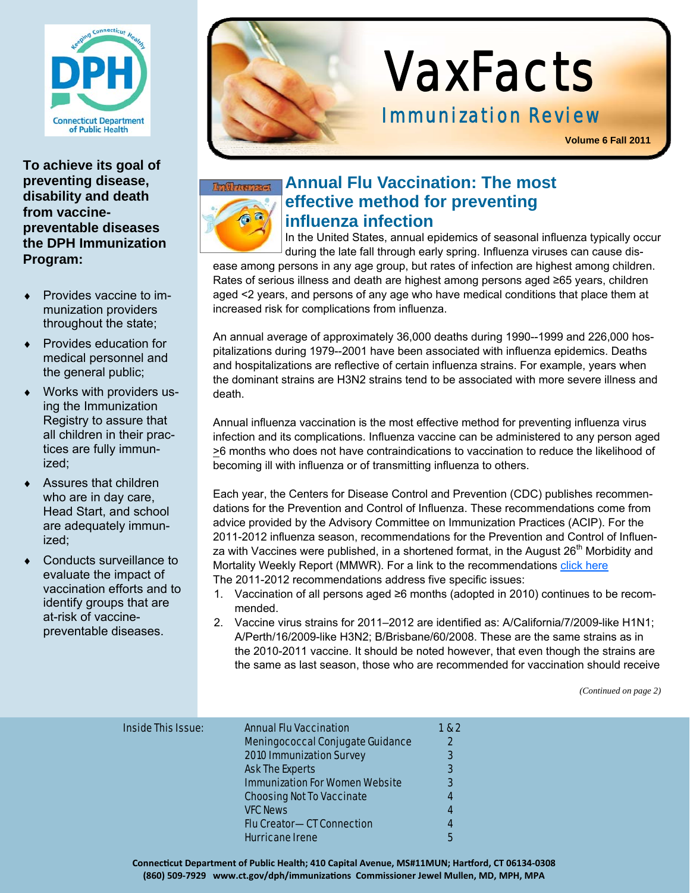

**To achieve its goal of preventing disease, disability and death from vaccinepreventable diseases the DPH Immunization Program:** 

- Provides vaccine to immunization providers throughout the state;
- Provides education for medical personnel and the general public;
- Works with providers using the Immunization Registry to assure that all children in their practices are fully immunized;
- Assures that children who are in day care, Head Start, and school are adequately immunized;
- Conducts surveillance to evaluate the impact of vaccination efforts and to identify groups that are at-risk of vaccinepreventable diseases.



# VaxFacts

**Volume 6 Fall 2011**



#### **Annual Flu Vaccination: The most effective method for preventing influenza infection**

In the United States, annual epidemics of seasonal influenza typically occur during the late fall through early spring. Influenza viruses can cause dis-

ease among persons in any age group, but rates of infection are highest among children. Rates of serious illness and death are highest among persons aged ≥65 years, children aged <2 years, and persons of any age who have medical conditions that place them at increased risk for complications from influenza.

An annual average of approximately 36,000 deaths during 1990--1999 and 226,000 hospitalizations during 1979--2001 have been associated with influenza epidemics. Deaths and hospitalizations are reflective of certain influenza strains. For example, years when the dominant strains are H3N2 strains tend to be associated with more severe illness and death.

Annual influenza vaccination is the most effective method for preventing influenza virus infection and its complications. Influenza vaccine can be administered to any person aged >6 months who does not have contraindications to vaccination to reduce the likelihood of becoming ill with influenza or of transmitting influenza to others.

Each year, the Centers for Disease Control and Prevention (CDC) publishes recommendations for the Prevention and Control of Influenza. These recommendations come from advice provided by the Advisory Committee on Immunization Practices (ACIP). For the 2011-2012 influenza season, recommendations for the Prevention and Control of Influenza with Vaccines were published, in a shortened format, in the August  $26<sup>th</sup>$  Morbidity and Mortality Weekly Report (MMWR). For a link to the recommendations click here The 2011-2012 recommendations address five specific issues:

- 1. Vaccination of all persons aged ≥6 months (adopted in 2010) continues to be recommended.
- 2. Vaccine virus strains for 2011–2012 are identified as: A/California/7/2009-like H1N1; A/Perth/16/2009-like H3N2; B/Brisbane/60/2008. These are the same strains as in the 2010-2011 vaccine. It should be noted however, that even though the strains are the same as last season, those who are recommended for vaccination should receive

*(Continued on page 2)* 

| <b>Inside This Issue:</b> | <b>Annual Flu Vaccination</b><br><b>Meningococcal Conjugate Guidance</b><br><b>2010 Immunization Survey</b> | 1 & 2<br>$\mathbf{2}$<br>3 |
|---------------------------|-------------------------------------------------------------------------------------------------------------|----------------------------|
|                           | <b>Ask The Experts</b>                                                                                      | 3                          |
|                           | <b>Immunization For Women Website</b>                                                                       | 3                          |
|                           | <b>Choosing Not To Vaccinate</b>                                                                            |                            |
|                           | <b>VFC News</b>                                                                                             | 4                          |
|                           | <b>Flu Creator-CT Connection</b>                                                                            | 4                          |
|                           | <b>Hurricane Irene</b>                                                                                      | 5                          |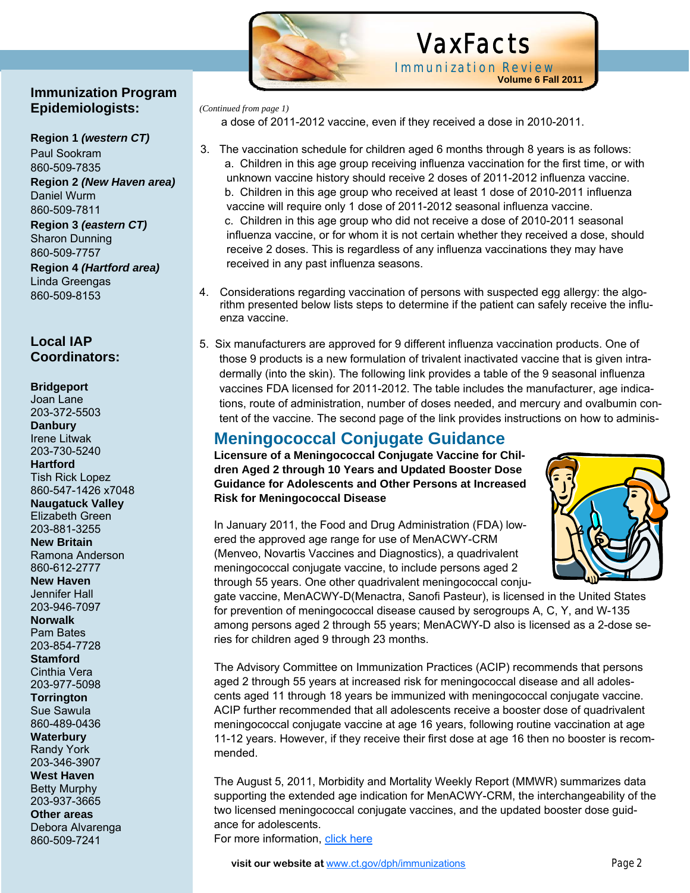#### **Immunization Program Epidemiologists:**

## **Region 1** *(western CT)*

Paul Sookram 860-509-7835 **Region 2** *(New Haven area)*  Daniel Wurm 860-509-7811

**Region 3** *(eastern CT)* Sharon Dunning 860-509-7757 **Region 4** *(Hartford area)* Linda Greengas 860-509-8153

#### **Local IAP Coordinators:**

#### **Bridgeport**

Joan Lane 203-372-5503 **Danbury**  Irene Litwak 203-730-5240 **Hartford** 

Tish Rick Lopez 860-547-1426 x7048 **Naugatuck Valley** 

Elizabeth Green 203-881-3255

**New Britain**  Ramona Anderson 860-612-2777

**New Haven**  Jennifer Hall 203-946-7097

**Norwalk**  Pam Bates 203-854-7728

**Stamford**  Cinthia Vera 203-977-5098

**Torrington**  Sue Sawula 860-489-0436

**Waterbury**  Randy York 203-346-3907

**West Haven**  Betty Murphy 203-937-3665

**Other areas**  Debora Alvarenga 860-509-7241



# VaxFacts Immunization Review

**Volume 6 Fall 2011**

*(Continued from page 1)* 

a dose of 2011-2012 vaccine, even if they received a dose in 2010-2011.

- 3. The vaccination schedule for children aged 6 months through 8 years is as follows: a. Children in this age group receiving influenza vaccination for the first time, or with unknown vaccine history should receive 2 doses of 2011-2012 influenza vaccine. b. Children in this age group who received at least 1 dose of 2010-2011 influenza vaccine will require only 1 dose of 2011-2012 seasonal influenza vaccine. c. Children in this age group who did not receive a dose of 2010-2011 seasonal influenza vaccine, or for whom it is not certain whether they received a dose, should receive 2 doses. This is regardless of any influenza vaccinations they may have received in any past influenza seasons.
- 4. Considerations regarding vaccination of persons with suspected egg allergy: the algorithm presented below lists steps to determine if the patient can safely receive the influenza vaccine.
- 5. Six manufacturers are approved for 9 different influenza vaccination products. One of those 9 products is a new formulation of trivalent inactivated vaccine that is given intradermally (into the skin). The following link provides a table of the 9 seasonal influenza vaccines FDA licensed for 2011-2012. The table includes the manufacturer, age indications, route of administration, number of doses needed, and mercury and ovalbumin content of the vaccine. The second page of the link provides instructions on how to adminis-

## **Meningococcal Conjugate Guidance**

**Licensure of a Meningococcal Conjugate Vaccine for Children Aged 2 through 10 Years and Updated Booster Dose Guidance for Adolescents and Other Persons at Increased Risk for Meningococcal Disease** 

In January 2011, the Food and Drug Administration (FDA) lowered the approved age range for use of MenACWY-CRM (Menveo, Novartis Vaccines and Diagnostics), a quadrivalent meningococcal conjugate vaccine, to include persons aged 2 through 55 years. One other quadrivalent meningococcal conju-

gate vaccine, MenACWY-D(Menactra, Sanofi Pasteur), is licensed in the United States for prevention of meningococcal disease caused by serogroups A, C, Y, and W-135 among persons aged 2 through 55 years; MenACWY-D also is licensed as a 2-dose series for children aged 9 through 23 months.

The Advisory Committee on Immunization Practices (ACIP) recommends that persons aged 2 through 55 years at increased risk for meningococcal disease and all adolescents aged 11 through 18 years be immunized with meningococcal conjugate vaccine. ACIP further recommended that all adolescents receive a booster dose of quadrivalent meningococcal conjugate vaccine at age 16 years, following routine vaccination at age 11-12 years. However, if they receive their first dose at age 16 then no booster is recommended.

The August 5, 2011, Morbidity and Mortality Weekly Report (MMWR) summarizes data supporting the extended age indication for MenACWY-CRM, the interchangeability of the two licensed meningococcal conjugate vaccines, and the updated booster dose guidance for adolescents. For more information, click here



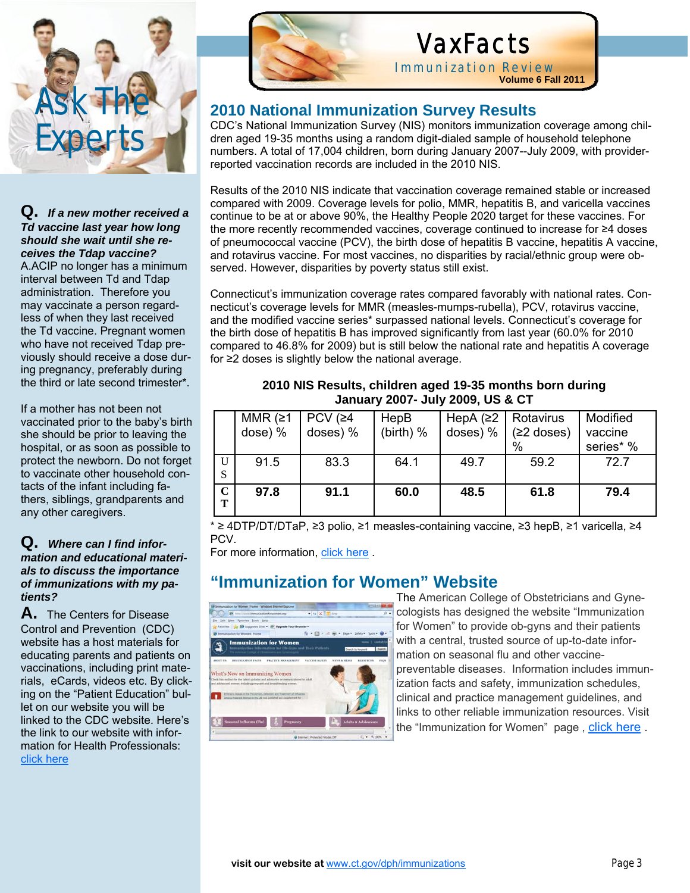

#### **Q.** *If a new mother received a Td vaccine last year how long should she wait until she receives the Tdap vaccine?* A.ACIP no longer has a minimum interval between Td and Tdap administration. Therefore you may vaccinate a person regardless of when they last received the Td vaccine. Pregnant women

who have not received Tdap previously should receive a dose during pregnancy, preferably during the third or late second trimester\*.

If a mother has not been not vaccinated prior to the baby's birth she should be prior to leaving the hospital, or as soon as possible to protect the newborn. Do not forget to vaccinate other household contacts of the infant including fathers, siblings, grandparents and any other caregivers.

#### **Q.** *Where can I find information and educational materials to discuss the importance of immunizations with my patients?*

**A.** The Centers for Disease Control and Prevention (CDC) website has a host materials for educating parents and patients on vaccinations, including print materials, eCards, videos etc. By clicking on the "Patient Education" bullet on our website you will be linked to the CDC website. Here's the link to our website with information for Health Professionals: click here



Ĩ

# VaxFacts

Immunization Review **Volume 6 Fall 2011**

#### **2010 National Immunization Survey Results**

CDC's National Immunization Survey (NIS) monitors immunization coverage among children aged 19-35 months using a random digit-dialed sample of household telephone numbers. A total of 17,004 children, born during January 2007--July 2009, with providerreported vaccination records are included in the 2010 NIS.

Results of the 2010 NIS indicate that vaccination coverage remained stable or increased compared with 2009. Coverage levels for polio, MMR, hepatitis B, and varicella vaccines continue to be at or above 90%, the Healthy People 2020 target for these vaccines. For the more recently recommended vaccines, coverage continued to increase for ≥4 doses of pneumococcal vaccine (PCV), the birth dose of hepatitis B vaccine, hepatitis A vaccine, and rotavirus vaccine. For most vaccines, no disparities by racial/ethnic group were observed. However, disparities by poverty status still exist.

Connecticut's immunization coverage rates compared favorably with national rates. Connecticut's coverage levels for MMR (measles-mumps-rubella), PCV, rotavirus vaccine, and the modified vaccine series\* surpassed national levels. Connecticut's coverage for the birth dose of hepatitis B has improved significantly from last year (60.0% for 2010 compared to 46.8% for 2009) but is still below the national rate and hepatitis A coverage for ≥2 doses is slightly below the national average.

|                  | MMR $(≥1)$<br>dose) % | PCV $(≥4)$<br>doses) % | HepB<br>(birth) $%$ | HepA $(≥2  $ Rotavirus<br>doses) $%$ | $(≥2$ doses)<br>$\%$ | Modified<br>vaccine<br>series* % |  |  |  |
|------------------|-----------------------|------------------------|---------------------|--------------------------------------|----------------------|----------------------------------|--|--|--|
| U<br>-S          | 91.5                  | 83.3                   | 64.1                | 49.7                                 | 59.2                 | 72.7                             |  |  |  |
| $\mathbf C$<br>Т | 97.8                  | 91.1                   | 60.0                | 48.5                                 | 61.8                 | 79.4                             |  |  |  |

**2010 NIS Results, children aged 19-35 months born during January 2007- July 2009, US & CT** 

\* ≥ 4DTP/DT/DTaP, ≥3 polio, ≥1 measles-containing vaccine, ≥3 hepB, ≥1 varicella, ≥4 PCV.

For more information, click here .

## **"Immunization for Women" Website**



The American College of Obstetricians and Gynecologists has designed the website "Immunization for Women" to provide ob-gyns and their patients with a central, trusted source of up-to-date information on seasonal flu and other vaccinepreventable diseases. Information includes immunization facts and safety, immunization schedules, clinical and practice management guidelines, and links to other reliable immunization resources. Visit the "Immunization for Women" page , click here .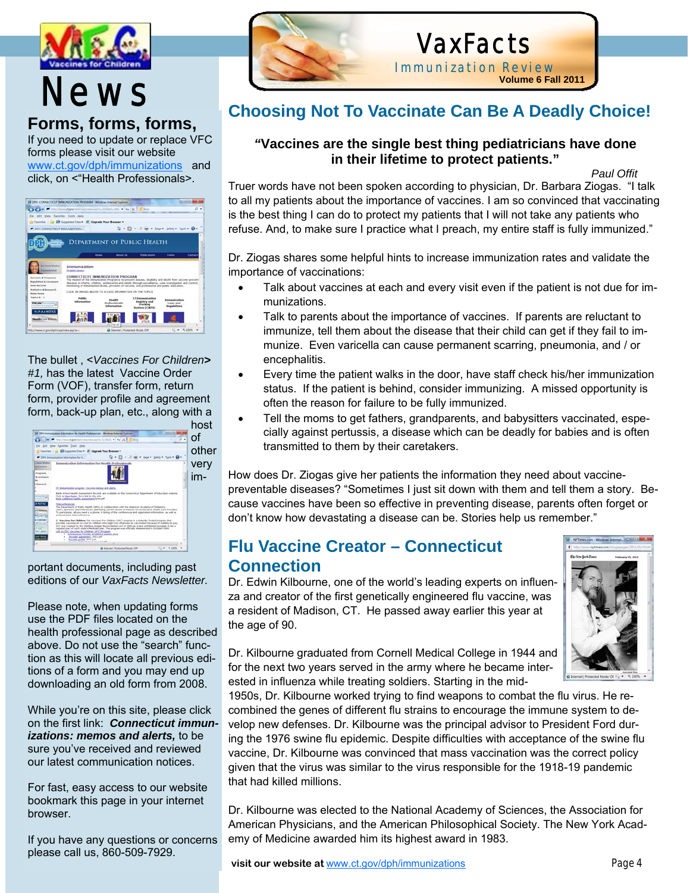

# **Forms, forms, forms,**

If you need to update or replace VFC forms please visit our website www.ct.gov/dph/immunizations and click, on <"Health Professionals>.

|                                                                                                      | <b>28 DIV: CONNECTICUT IMMUNIZATION PROGRAM - Windows Internet Explorer</b>                                                                                   |                                         |                                                                                                            |                           |        |  |
|------------------------------------------------------------------------------------------------------|---------------------------------------------------------------------------------------------------------------------------------------------------------------|-----------------------------------------|------------------------------------------------------------------------------------------------------------|---------------------------|--------|--|
|                                                                                                      | B Muller deviation in colour and a state of the X Elev                                                                                                        |                                         |                                                                                                            |                           | ø<br>٠ |  |
| Edit View Favorites Eock Help                                                                        |                                                                                                                                                               |                                         |                                                                                                            |                           |        |  |
|                                                                                                      | Flavorites 1 2 Supported Stes . El Upgrade Your Browser .                                                                                                     |                                         |                                                                                                            |                           |        |  |
| F DRECOVARITION BANJAGATION                                                                          |                                                                                                                                                               | $\mathbb{R}$ - $\mathbb{R}$             |                                                                                                            | $_{shab}$ = Tools = $Q$ = |        |  |
|                                                                                                      |                                                                                                                                                               |                                         |                                                                                                            |                           |        |  |
|                                                                                                      |                                                                                                                                                               |                                         | DEPARTMENT OF PUBLIC HEALTH                                                                                |                           |        |  |
|                                                                                                      |                                                                                                                                                               |                                         |                                                                                                            |                           |        |  |
|                                                                                                      |                                                                                                                                                               | Athenat top                             | Publications                                                                                               | Forms                     | Contac |  |
|                                                                                                      |                                                                                                                                                               |                                         |                                                                                                            |                           |        |  |
| <b>The Treasul Michael</b><br>Committee Adventure                                                    | Immunization<br><b>Roberts Jewell</b>                                                                                                                         |                                         |                                                                                                            |                           |        |  |
| Services & Programs                                                                                  |                                                                                                                                                               | <b>CONNECTICUT IMMUNIZATION PROGRAM</b> | The mission of the Immunization Pringram is to prevent deease, deadlify and death from vaccine prevent     |                           |        |  |
| <b>Sepulation &amp; La amazes</b><br><b>Vital Records</b>                                            |                                                                                                                                                               |                                         | discuss in infants, children, adolescents and adults through surveillance, case investigation and control. |                           |        |  |
|                                                                                                      | monitoring of immunication levels, provision of vaccine, and professional and public education.<br>CLICK ON INMADE BELOW TO ACCESS INFORMATION ON THE TOPICS. |                                         |                                                                                                            |                           |        |  |
|                                                                                                      |                                                                                                                                                               |                                         |                                                                                                            |                           |        |  |
|                                                                                                      | <b>Public</b>                                                                                                                                                 | <b>Health</b>                           | <b>CT Ammunication</b>                                                                                     | <b>Anomunication</b>      |        |  |
|                                                                                                      | domation                                                                                                                                                      | Professionale<br><b>Enforcesation</b>   | Registry and<br><b>Trackloss</b><br><b>System (CBDS)</b>                                                   | Laws and<br>Regulations   |        |  |
| Matisface & Research<br><b>News Room</b><br>Topona A - $B$<br>TH 4M consulting<br><b>HIPAANOTICE</b> |                                                                                                                                                               |                                         |                                                                                                            |                           |        |  |
| <b>Hander and Billion</b>                                                                            |                                                                                                                                                               |                                         |                                                                                                            |                           |        |  |
|                                                                                                      | <b>And</b>                                                                                                                                                    |                                         |                                                                                                            |                           |        |  |

The bullet , <*Vaccines For Children> #1,* has the latest Vaccine Order Form (VOF), transfer form, return form, provider profile and agreement form, back-up plan, etc., along with a host



portant documents, including past editions of our *VaxFacts Newsletter.*

Please note, when updating forms use the PDF files located on the health professional page as described above. Do not use the "search" function as this will locate all previous editions of a form and you may end up downloading an old form from 2008.

While you're on this site, please click on the first link: *Connecticut immunizations: memos and alerts,* to be sure you've received and reviewed our latest communication notices.

For fast, easy access to our website bookmark this page in your internet browser.

If you have any questions or concerns please call us, 860-509-7929.



# VaxFacts

Immunization Review

**Volume 6 Fall 2011**

# **News** Choosing Not To Vaccinate Can Be A Deadly Choice!

#### *"***Vaccines are the single best thing pediatricians have done in their lifetime to protect patients."**

 *Paul Offit*  Truer words have not been spoken according to physician, Dr. Barbara Ziogas. "I talk to all my patients about the importance of vaccines. I am so convinced that vaccinating is the best thing I can do to protect my patients that I will not take any patients who refuse. And, to make sure I practice what I preach, my entire staff is fully immunized."

Dr. Ziogas shares some helpful hints to increase immunization rates and validate the importance of vaccinations:

- Talk about vaccines at each and every visit even if the patient is not due for immunizations.
- Talk to parents about the importance of vaccines. If parents are reluctant to immunize, tell them about the disease that their child can get if they fail to immunize. Even varicella can cause permanent scarring, pneumonia, and / or encephalitis.
- Every time the patient walks in the door, have staff check his/her immunization status. If the patient is behind, consider immunizing. A missed opportunity is often the reason for failure to be fully immunized.
- Tell the moms to get fathers, grandparents, and babysitters vaccinated, especially against pertussis, a disease which can be deadly for babies and is often transmitted to them by their caretakers.

How does Dr. Ziogas give her patients the information they need about vaccinepreventable diseases? "Sometimes I just sit down with them and tell them a story. Because vaccines have been so effective in preventing disease, parents often forget or don't know how devastating a disease can be. Stories help us remember."

### **Flu Vaccine Creator – Connecticut Connection**

Dr. Edwin Kilbourne, one of the world's leading experts on influenza and creator of the first genetically engineered flu vaccine, was a resident of Madison, CT. He passed away earlier this year at the age of 90.



Dr. Kilbourne graduated from Cornell Medical College in 1944 and for the next two years served in the army where he became interested in influenza while treating soldiers. Starting in the mid-

1950s, Dr. Kilbourne worked trying to find weapons to combat the flu virus. He recombined the genes of different flu strains to encourage the immune system to develop new defenses. Dr. Kilbourne was the principal advisor to President Ford during the 1976 swine flu epidemic. Despite difficulties with acceptance of the swine flu vaccine, Dr. Kilbourne was convinced that mass vaccination was the correct policy given that the virus was similar to the virus responsible for the 1918-19 pandemic that had killed millions.

Dr. Kilbourne was elected to the National Academy of Sciences, the Association for American Physicians, and the American Philosophical Society. The New York Academy of Medicine awarded him its highest award in 1983.